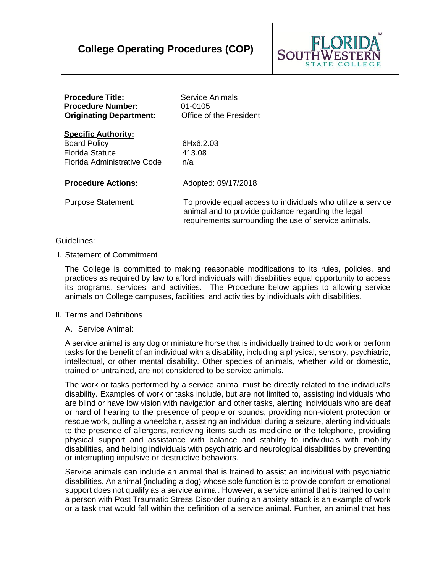# **College Operating Procedures (COP)**



| <b>Procedure Title:</b><br><b>Procedure Number:</b><br><b>Originating Department:</b>                      | <b>Service Animals</b><br>01-0105<br>Office of the President                                                                                                               |
|------------------------------------------------------------------------------------------------------------|----------------------------------------------------------------------------------------------------------------------------------------------------------------------------|
| <b>Specific Authority:</b><br><b>Board Policy</b><br><b>Florida Statute</b><br>Florida Administrative Code | 6Hx6:2.03<br>413.08<br>n/a                                                                                                                                                 |
| <b>Procedure Actions:</b>                                                                                  | Adopted: 09/17/2018                                                                                                                                                        |
| <b>Purpose Statement:</b>                                                                                  | To provide equal access to individuals who utilize a service<br>animal and to provide guidance regarding the legal<br>requirements surrounding the use of service animals. |

## Guidelines:

# I. Statement of Commitment

The College is committed to making reasonable modifications to its rules, policies, and practices as required by law to afford individuals with disabilities equal opportunity to access its programs, services, and activities. The Procedure below applies to allowing service animals on College campuses, facilities, and activities by individuals with disabilities.

#### II. Terms and Definitions

## A. Service Animal:

A service animal is any dog or miniature horse that is individually trained to do work or perform tasks for the benefit of an individual with a disability, including a physical, sensory, psychiatric, intellectual, or other mental disability. Other species of animals, whether wild or domestic, trained or untrained, are not considered to be service animals.

The work or tasks performed by a service animal must be directly related to the individual's disability. Examples of work or tasks include, but are not limited to, assisting individuals who are blind or have low vision with navigation and other tasks, alerting individuals who are deaf or hard of hearing to the presence of people or sounds, providing non-violent protection or rescue work, pulling a wheelchair, assisting an individual during a seizure, alerting individuals to the presence of allergens, retrieving items such as medicine or the telephone, providing physical support and assistance with balance and stability to individuals with mobility disabilities, and helping individuals with psychiatric and neurological disabilities by preventing or interrupting impulsive or destructive behaviors.

Service animals can include an animal that is trained to assist an individual with psychiatric disabilities. An animal (including a dog) whose sole function is to provide comfort or emotional support does not qualify as a service animal. However, a service animal that is trained to calm a person with Post Traumatic Stress Disorder during an anxiety attack is an example of work or a task that would fall within the definition of a service animal. Further, an animal that has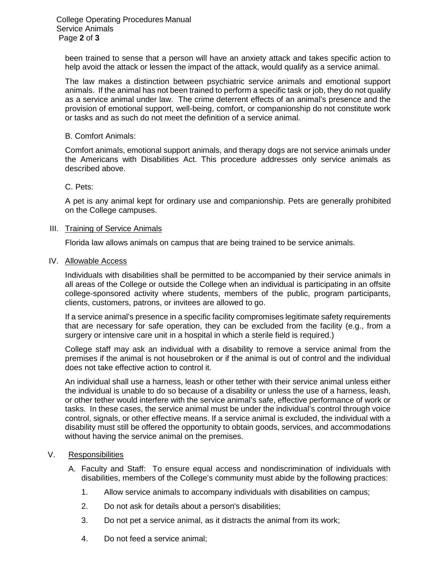been trained to sense that a person will have an anxiety attack and takes specific action to help avoid the attack or lessen the impact of the attack, would qualify as a service animal.

The law makes a distinction between psychiatric service animals and emotional support animals. If the animal has not been trained to perform a specific task or job, they do not qualify as a service animal under law. The crime deterrent effects of an animal's presence and the provision of emotional support, well-being, comfort, or companionship do not constitute work or tasks and as such do not meet the definition of a service animal.

#### B. Comfort Animals:

Comfort animals, emotional support animals, and therapy dogs are not service animals under the Americans with Disabilities Act. This procedure addresses only service animals as described above.

## C. Pets:

A pet is any animal kept for ordinary use and companionship. Pets are generally prohibited on the College campuses.

#### III. Training of Service Animals

Florida law allows animals on campus that are being trained to be service animals.

#### IV. Allowable Access

Individuals with disabilities shall be permitted to be accompanied by their service animals in all areas of the College or outside the College when an individual is participating in an offsite college-sponsored activity where students, members of the public, program participants, clients, customers, patrons, or invitees are allowed to go.

If a service animal's presence in a specific facility compromises legitimate safety requirements that are necessary for safe operation, they can be excluded from the facility (e.g., from a surgery or intensive care unit in a hospital in which a sterile field is required.)

College staff may ask an individual with a disability to remove a service animal from the premises if the animal is not housebroken or if the animal is out of control and the individual does not take effective action to control it.

An individual shall use a harness, leash or other tether with their service animal unless either the individual is unable to do so because of a disability or unless the use of a harness, leash, or other tether would interfere with the service animal's safe, effective performance of work or tasks. In these cases, the service animal must be under the individual's control through voice control, signals, or other effective means. If a service animal is excluded, the individual with a disability must still be offered the opportunity to obtain goods, services, and accommodations without having the service animal on the premises.

# V. Responsibilities

- A. Faculty and Staff: To ensure equal access and nondiscrimination of individuals with disabilities, members of the College's community must abide by the following practices:
	- 1. Allow service animals to accompany individuals with disabilities on campus;
	- 2. Do not ask for details about a person's disabilities;
	- 3. Do not pet a service animal, as it distracts the animal from its work;
	- 4. Do not feed a service animal;